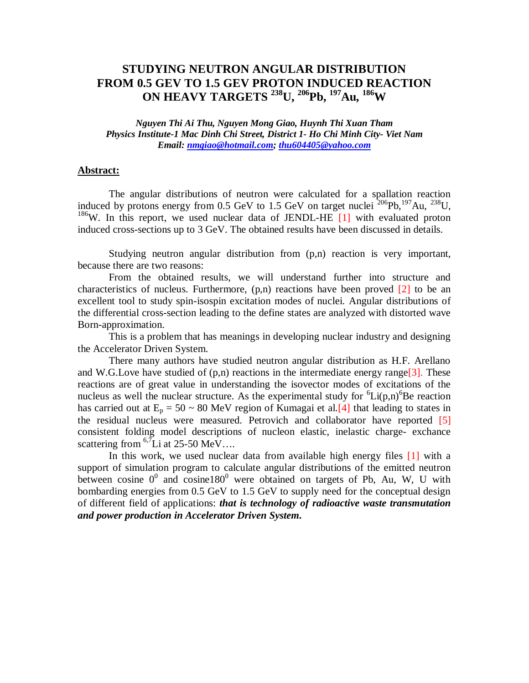## **STUDYING NEUTRON ANGULAR DISTRIBUTION FROM 0.5 GEV TO 1.5 GEV PROTON INDUCED REACTION ON HEAVY TARGETS <sup>238</sup>U, <sup>206</sup>Pb, <sup>197</sup>Au, <sup>186</sup>W**

*Nguyen Thi Ai Thu, Nguyen Mong Giao, Huynh Thi Xuan Tham Physics Institute-1 Mac Dinh Chi Street, District 1- Ho Chi Minh City- Viet Nam Email: nmgiao@hotmail.com; thu604405@yahoo.com*

## **Abstract:**

The angular distributions of neutron were calculated for a spallation reaction induced by protons energy from 0.5 GeV to 1.5 GeV on target nuclei  $^{206}Pb$ ,  $^{197}Au$ ,  $^{238}U$ , <sup>186</sup>W. In this report, we used nuclear data of JENDL-HE  $[1]$  with evaluated proton induced cross-sections up to 3 GeV. The obtained results have been discussed in details.

Studying neutron angular distribution from (p,n) reaction is very important, because there are two reasons:

From the obtained results, we will understand further into structure and characteristics of nucleus. Furthermore,  $(p,n)$  reactions have been proved  $[2]$  to be an excellent tool to study spin-isospin excitation modes of nuclei. Angular distributions of the differential cross-section leading to the define states are analyzed with distorted wave Born-approximation.

This is a problem that has meanings in developing nuclear industry and designing the Accelerator Driven System.

There many authors have studied neutron angular distribution as H.F. Arellano and W.G.Love have studied of  $(p,n)$  reactions in the intermediate energy range[3]. These reactions are of great value in understanding the isovector modes of excitations of the nucleus as well the nuclear structure. As the experimental study for  ${}^{6}Li(p,n){}^{6}Be$  reaction has carried out at  $E_p = 50 \sim 80$  MeV region of Kumagai et al. [4] that leading to states in the residual nucleus were measured. Petrovich and collaborator have reported [5] consistent folding model descriptions of nucleon elastic, inelastic charge- exchance scattering from  ${}^{6,7}$ Li at 25-50 MeV...

In this work, we used nuclear data from available high energy files [1] with a support of simulation program to calculate angular distributions of the emitted neutron between cosine  $0^0$  and cosine180<sup>0</sup> were obtained on targets of Pb, Au, W, U with bombarding energies from 0.5 GeV to 1.5 GeV to supply need for the conceptual design of different field of applications: *that is technology of radioactive waste transmutation and power production in Accelerator Driven System.*